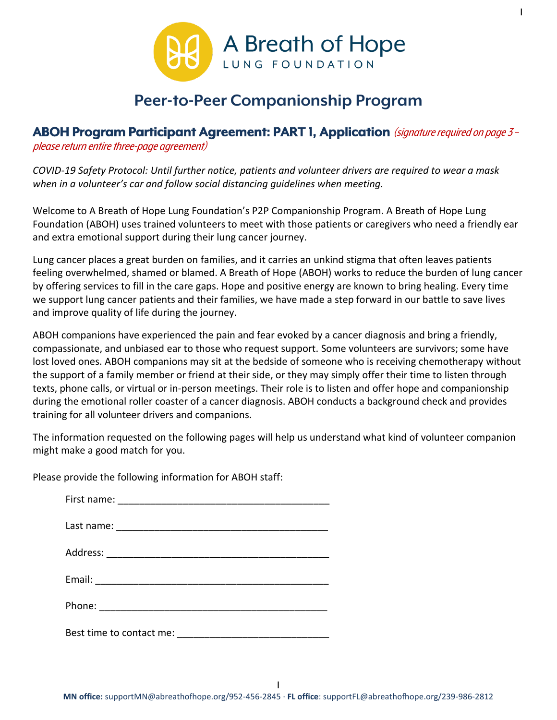

1

## **Peer-to-Peer Companionship Program**

## **ABOH Program Participant Agreement: PART 1, Application** (signature required on page3–

please return entire three-page agreement)

*COVID-19 Safety Protocol: Until further notice, patients and volunteer drivers are required to wear a mask when in a volunteer's car and follow social distancing guidelines when meeting.* 

Welcome to A Breath of Hope Lung Foundation's P2P Companionship Program. A Breath of Hope Lung Foundation (ABOH) uses trained volunteers to meet with those patients or caregivers who need a friendly ear and extra emotional support during their lung cancer journey.

Lung cancer places a great burden on families, and it carries an unkind stigma that often leaves patients feeling overwhelmed, shamed or blamed. A Breath of Hope (ABOH) works to reduce the burden of lung cancer by offering services to fill in the care gaps. Hope and positive energy are known to bring healing. Every time we support lung cancer patients and their families, we have made a step forward in our battle to save lives and improve quality of life during the journey.

ABOH companions have experienced the pain and fear evoked by a cancer diagnosis and bring a friendly, compassionate, and unbiased ear to those who request support. Some volunteers are survivors; some have lost loved ones. ABOH companions may sit at the bedside of someone who is receiving chemotherapy without the support of a family member or friend at their side, or they may simply offer their time to listen through texts, phone calls, or virtual or in-person meetings. Their role is to listen and offer hope and companionship during the emotional roller coaster of a cancer diagnosis. ABOH conducts a background check and provides training for all volunteer drivers and companions.

The information requested on the following pages will help us understand what kind of volunteer companion might make a good match for you.

Please provide the following information for ABOH staff: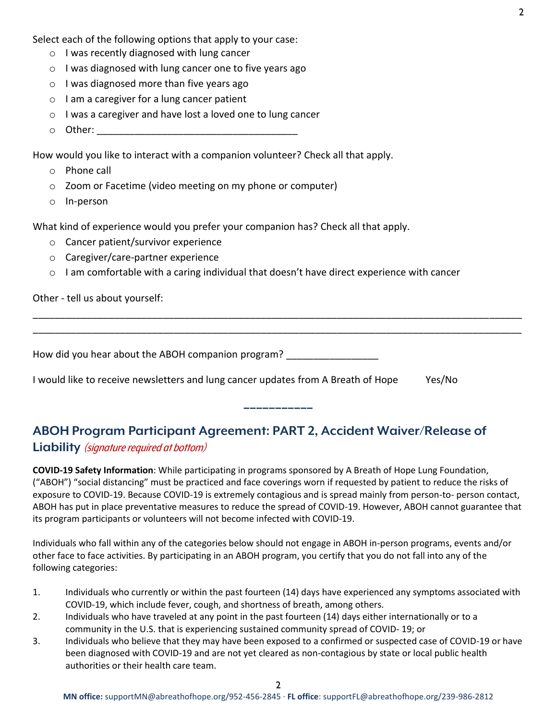Select each of the following options that apply to your case:

- o I was recently diagnosed with lung cancer
- o I was diagnosed with lung cancer one to five years ago
- o I was diagnosed more than five years ago
- o I am a caregiver for a lung cancer patient
- o I was a caregiver and have lost a loved one to lung cancer
- $\circ$  Other:

How would you like to interact with a companion volunteer? Check all that apply.

- o Phone call
- o Zoom or Facetime (video meeting on my phone or computer)
- o In-person

What kind of experience would you prefer your companion has? Check all that apply.

- o Cancer patient/survivor experience
- o Caregiver/care-partner experience
- o I am comfortable with a caring individual that doesn't have direct experience with cancer

## Other - tell us about yourself:

How did you hear about the ABOH companion program? \_\_\_\_\_\_\_\_\_\_\_\_\_\_\_\_\_\_\_\_\_\_\_\_\_\_\_\_\_

\_\_\_\_\_\_\_\_\_\_\_\_\_\_\_\_\_\_\_\_\_\_\_\_\_\_\_\_\_\_\_\_\_\_\_\_\_\_\_\_\_\_\_\_\_\_\_\_\_\_\_\_\_\_\_\_\_\_\_\_\_\_\_\_\_\_\_\_\_\_\_\_\_\_\_\_\_\_\_\_\_\_\_\_\_\_\_\_\_\_ \_\_\_\_\_\_\_\_\_\_\_\_\_\_\_\_\_\_\_\_\_\_\_\_\_\_\_\_\_\_\_\_\_\_\_\_\_\_\_\_\_\_\_\_\_\_\_\_\_\_\_\_\_\_\_\_\_\_\_\_\_\_\_\_\_\_\_\_\_\_\_\_\_\_\_\_\_\_\_\_\_\_\_\_\_\_\_\_\_\_

I would like to receive newsletters and lung cancer updates from A Breath of Hope Yes/No

## **ABOH Program Participant Agreement: PART 2, Accident Waiver/Release of Liability** (signature required at bottom)

**COVID-19 Safety Information**: While participating in programs sponsored by A Breath of Hope Lung Foundation, ("ABOH") "social distancing" must be practiced and face coverings worn if requested by patient to reduce the risks of exposure to COVID-19. Because COVID-19 is extremely contagious and is spread mainly from person-to- person contact, ABOH has put in place preventative measures to reduce the spread of COVID-19. However, ABOH cannot guarantee that its program participants or volunteers will not become infected with COVID-19.

**−−−−−−−−−−−**

Individuals who fall within any of the categories below should not engage in ABOH in-person programs, events and/or other face to face activities. By participating in an ABOH program, you certify that you do not fall into any of the following categories:

- 1. Individuals who currently or within the past fourteen (14) days have experienced any symptoms associated with COVID-19, which include fever, cough, and shortness of breath, among others.
- 2. Individuals who have traveled at any point in the past fourteen (14) days either internationally or to a community in the U.S. that is experiencing sustained community spread of COVID- 19; or
- 3. Individuals who believe that they may have been exposed to a confirmed or suspected case of COVID-19 or have been diagnosed with COVID-19 and are not yet cleared as non-contagious by state or local public health authorities or their health care team.